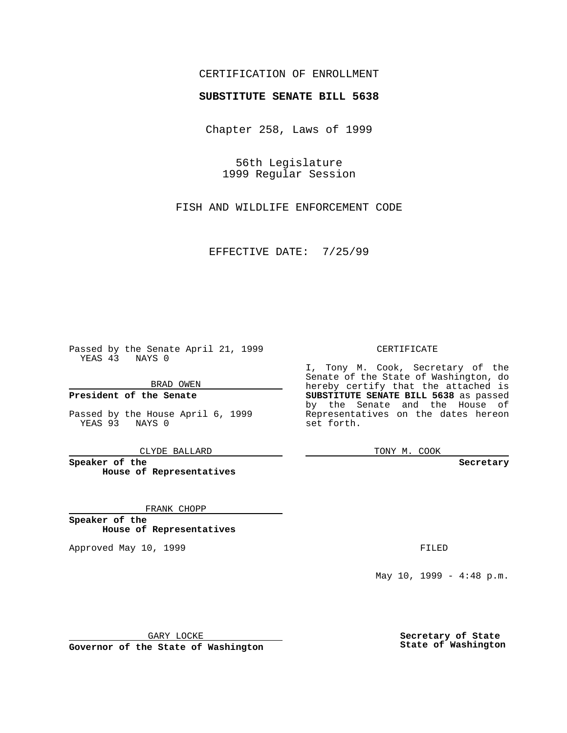## CERTIFICATION OF ENROLLMENT

# **SUBSTITUTE SENATE BILL 5638**

Chapter 258, Laws of 1999

56th Legislature 1999 Regular Session

FISH AND WILDLIFE ENFORCEMENT CODE

EFFECTIVE DATE: 7/25/99

Passed by the Senate April 21, 1999 YEAS 43 NAYS 0

BRAD OWEN

**President of the Senate**

Passed by the House April 6, 1999 YEAS 93 NAYS 0

CLYDE BALLARD

**Speaker of the House of Representatives**

FRANK CHOPP

**Speaker of the House of Representatives**

Approved May 10, 1999 **FILED** 

#### CERTIFICATE

I, Tony M. Cook, Secretary of the Senate of the State of Washington, do hereby certify that the attached is **SUBSTITUTE SENATE BILL 5638** as passed by the Senate and the House of Representatives on the dates hereon set forth.

TONY M. COOK

#### **Secretary**

May 10, 1999 - 4:48 p.m.

GARY LOCKE

**Governor of the State of Washington**

**Secretary of State State of Washington**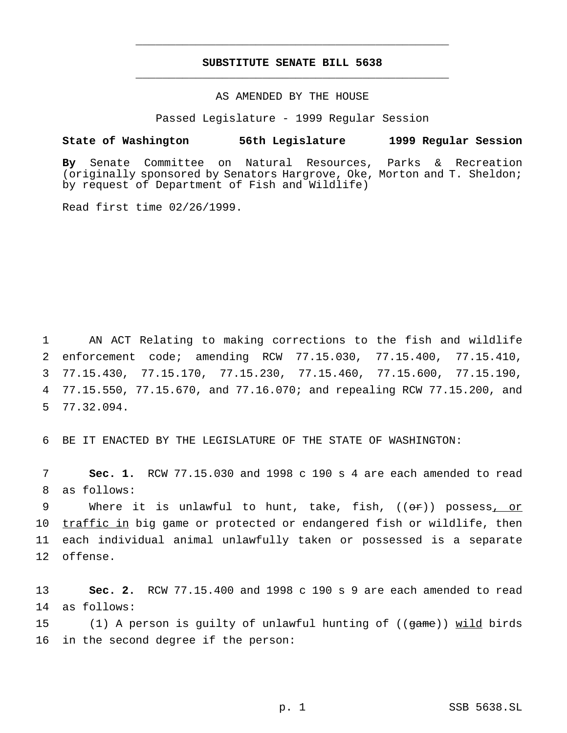## **SUBSTITUTE SENATE BILL 5638** \_\_\_\_\_\_\_\_\_\_\_\_\_\_\_\_\_\_\_\_\_\_\_\_\_\_\_\_\_\_\_\_\_\_\_\_\_\_\_\_\_\_\_\_\_\_\_

\_\_\_\_\_\_\_\_\_\_\_\_\_\_\_\_\_\_\_\_\_\_\_\_\_\_\_\_\_\_\_\_\_\_\_\_\_\_\_\_\_\_\_\_\_\_\_

### AS AMENDED BY THE HOUSE

Passed Legislature - 1999 Regular Session

#### **State of Washington 56th Legislature 1999 Regular Session**

**By** Senate Committee on Natural Resources, Parks & Recreation (originally sponsored by Senators Hargrove, Oke, Morton and T. Sheldon; by request of Department of Fish and Wildlife)

Read first time 02/26/1999.

 AN ACT Relating to making corrections to the fish and wildlife enforcement code; amending RCW 77.15.030, 77.15.400, 77.15.410, 77.15.430, 77.15.170, 77.15.230, 77.15.460, 77.15.600, 77.15.190, 77.15.550, 77.15.670, and 77.16.070; and repealing RCW 77.15.200, and 77.32.094.

6 BE IT ENACTED BY THE LEGISLATURE OF THE STATE OF WASHINGTON:

7 **Sec. 1.** RCW 77.15.030 and 1998 c 190 s 4 are each amended to read 8 as follows:

9 Where it is unlawful to hunt, take, fish, ((or)) possess<u>, or</u> 10 traffic in big game or protected or endangered fish or wildlife, then 11 each individual animal unlawfully taken or possessed is a separate 12 offense.

13 **Sec. 2.** RCW 77.15.400 and 1998 c 190 s 9 are each amended to read 14 as follows:

15 (1) A person is guilty of unlawful hunting of ((game)) wild birds 16 in the second degree if the person: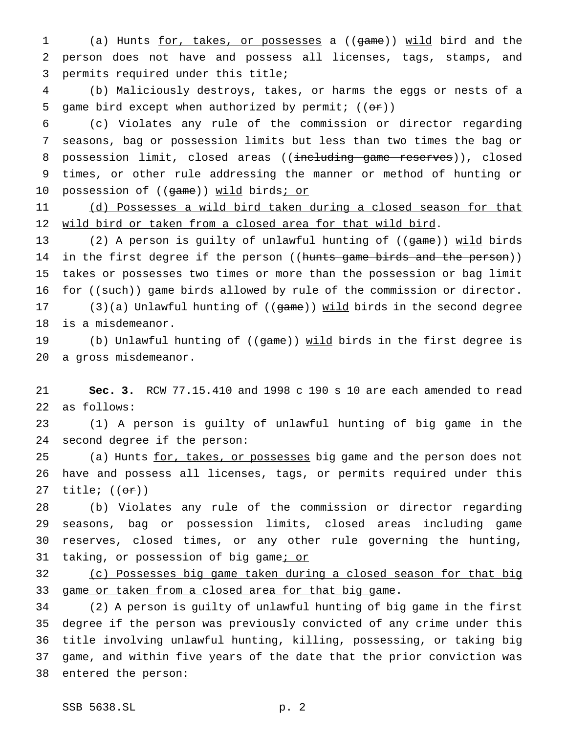(a) Hunts for, takes, or possesses a ((game)) wild bird and the person does not have and possess all licenses, tags, stamps, and permits required under this title;

 (b) Maliciously destroys, takes, or harms the eggs or nests of a 5 game bird except when authorized by permit;  $((\theta \cdot \mathbf{r}))$ 

 (c) Violates any rule of the commission or director regarding seasons, bag or possession limits but less than two times the bag or 8 possession limit, closed areas ((including game reserves)), closed times, or other rule addressing the manner or method of hunting or 10 possession of ((game)) wild birds; or

11 (d) Possesses a wild bird taken during a closed season for that wild bird or taken from a closed area for that wild bird.

13 (2) A person is guilty of unlawful hunting of ((game)) wild birds 14 in the first degree if the person ((hunts game birds and the person)) takes or possesses two times or more than the possession or bag limit 16 for ((such)) game birds allowed by rule of the commission or director. 17 (3)(a) Unlawful hunting of ((game)) wild birds in the second degree

is a misdemeanor.

19 (b) Unlawful hunting of ((game)) wild birds in the first degree is a gross misdemeanor.

 **Sec. 3.** RCW 77.15.410 and 1998 c 190 s 10 are each amended to read as follows:

 (1) A person is guilty of unlawful hunting of big game in the second degree if the person:

25 (a) Hunts for, takes, or possesses big game and the person does not have and possess all licenses, tags, or permits required under this 27 title;  $((\theta \cdot \hat{r}))$ 

 (b) Violates any rule of the commission or director regarding seasons, bag or possession limits, closed areas including game reserves, closed times, or any other rule governing the hunting, 31 taking, or possession of big game; or

 (c) Possesses big game taken during a closed season for that big 33 game or taken from a closed area for that big game.

 (2) A person is guilty of unlawful hunting of big game in the first degree if the person was previously convicted of any crime under this title involving unlawful hunting, killing, possessing, or taking big game, and within five years of the date that the prior conviction was 38 entered the person: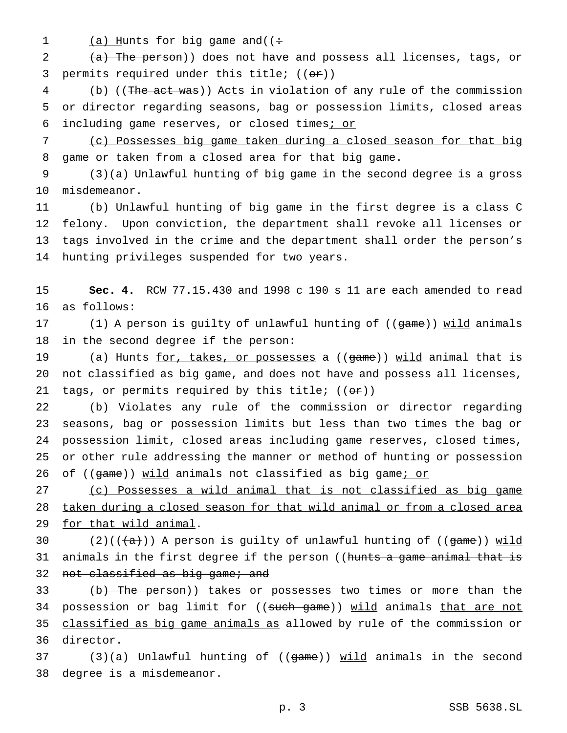1  $(a)$  Hunts for big game and( $($  +

2 (a) The person)) does not have and possess all licenses, tags, or 3 permits required under this title;  $((\theta \cdot \mathbf{r}))$ 

4 (b) ((The act was)) Acts in violation of any rule of the commission 5 or director regarding seasons, bag or possession limits, closed areas 6 including game reserves, or closed times; or

7 (c) Possesses big game taken during a closed season for that big 8 game or taken from a closed area for that big game.

9 (3)(a) Unlawful hunting of big game in the second degree is a gross 10 misdemeanor.

 (b) Unlawful hunting of big game in the first degree is a class C felony. Upon conviction, the department shall revoke all licenses or tags involved in the crime and the department shall order the person's hunting privileges suspended for two years.

15 **Sec. 4.** RCW 77.15.430 and 1998 c 190 s 11 are each amended to read 16 as follows:

17 (1) A person is guilty of unlawful hunting of ((game)) wild animals 18 in the second degree if the person:

19 (a) Hunts for, takes, or possesses a ((game)) wild animal that is 20 not classified as big game, and does not have and possess all licenses, 21 tags, or permits required by this title;  $((\theta \cdot \hat{r}))$ 

 (b) Violates any rule of the commission or director regarding seasons, bag or possession limits but less than two times the bag or possession limit, closed areas including game reserves, closed times, or other rule addressing the manner or method of hunting or possession 26 of ((game)) wild animals not classified as big game; or

27 (c) Possesses a wild animal that is not classified as big game 28 taken during a closed season for that wild animal or from a closed area 29 for that wild animal.

30 (2)( $(\overline{a})$ ) A person is guilty of unlawful hunting of ((game)) wild 31 animals in the first degree if the person ((hunts a game animal that is 32 not classified as big game; and

33 (b) The person)) takes or possesses two times or more than the 34 possession or bag limit for ((such game)) wild animals that are not 35 classified as big game animals as allowed by rule of the commission or 36 director.

37 (3)(a) Unlawful hunting of ((game)) wild animals in the second 38 degree is a misdemeanor.

p. 3 SSB 5638.SL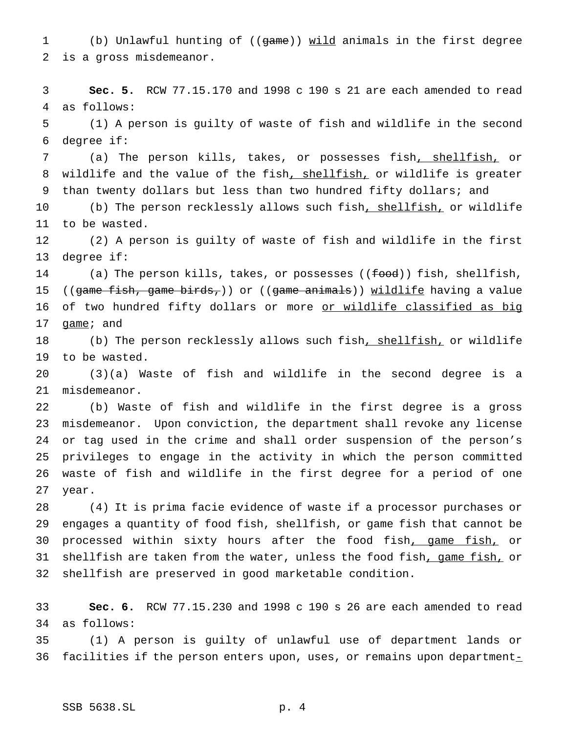1 (b) Unlawful hunting of ((game)) wild animals in the first degree is a gross misdemeanor.

 **Sec. 5.** RCW 77.15.170 and 1998 c 190 s 21 are each amended to read as follows:

 (1) A person is guilty of waste of fish and wildlife in the second degree if:

 (a) The person kills, takes, or possesses fish, shellfish, or wildlife and the value of the fish, shellfish, or wildlife is greater 9 than twenty dollars but less than two hundred fifty dollars; and

10 (b) The person recklessly allows such fish<u>, shellfish,</u> or wildlife to be wasted.

 (2) A person is guilty of waste of fish and wildlife in the first degree if:

14 (a) The person kills, takes, or possesses ((food)) fish, shellfish, 15 ((game fish, game birds,)) or ((game animals)) wildlife having a value 16 of two hundred fifty dollars or more or wildlife classified as big 17 game; and

18 (b) The person recklessly allows such fish, shellfish, or wildlife to be wasted.

 (3)(a) Waste of fish and wildlife in the second degree is a misdemeanor.

 (b) Waste of fish and wildlife in the first degree is a gross misdemeanor. Upon conviction, the department shall revoke any license or tag used in the crime and shall order suspension of the person's privileges to engage in the activity in which the person committed waste of fish and wildlife in the first degree for a period of one year.

 (4) It is prima facie evidence of waste if a processor purchases or engages a quantity of food fish, shellfish, or game fish that cannot be 30 processed within sixty hours after the food fish, game fish, or 31 shellfish are taken from the water, unless the food fish, game fish, or shellfish are preserved in good marketable condition.

 **Sec. 6.** RCW 77.15.230 and 1998 c 190 s 26 are each amended to read as follows:

 (1) A person is guilty of unlawful use of department lands or 36 facilities if the person enters upon, uses, or remains upon department $_$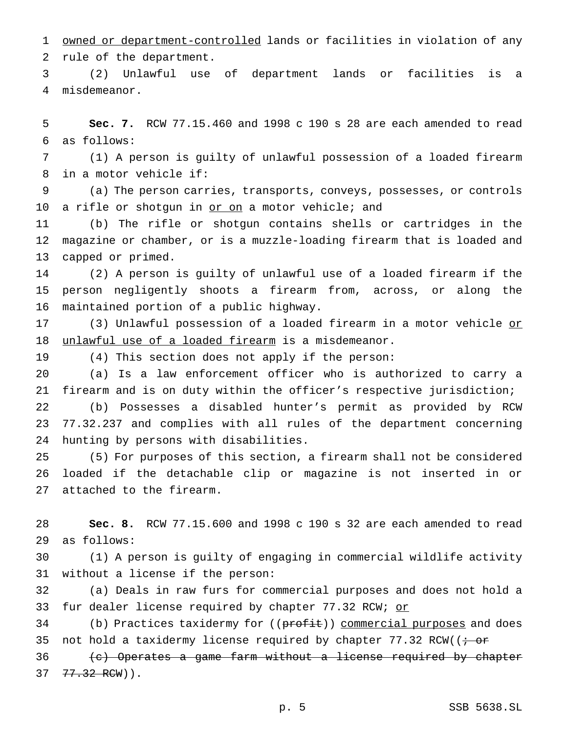owned or department-controlled lands or facilities in violation of any rule of the department.

 (2) Unlawful use of department lands or facilities is a misdemeanor.

 **Sec. 7.** RCW 77.15.460 and 1998 c 190 s 28 are each amended to read as follows:

 (1) A person is guilty of unlawful possession of a loaded firearm in a motor vehicle if:

 (a) The person carries, transports, conveys, possesses, or controls 10 a rifle or shotgun in <u>or on</u> a motor vehicle; and

 (b) The rifle or shotgun contains shells or cartridges in the magazine or chamber, or is a muzzle-loading firearm that is loaded and capped or primed.

 (2) A person is guilty of unlawful use of a loaded firearm if the person negligently shoots a firearm from, across, or along the maintained portion of a public highway.

17 (3) Unlawful possession of a loaded firearm in a motor vehicle or 18 unlawful use of a loaded firearm is a misdemeanor.

(4) This section does not apply if the person:

 (a) Is a law enforcement officer who is authorized to carry a firearm and is on duty within the officer's respective jurisdiction;

 (b) Possesses a disabled hunter's permit as provided by RCW 77.32.237 and complies with all rules of the department concerning hunting by persons with disabilities.

 (5) For purposes of this section, a firearm shall not be considered loaded if the detachable clip or magazine is not inserted in or attached to the firearm.

 **Sec. 8.** RCW 77.15.600 and 1998 c 190 s 32 are each amended to read as follows:

 (1) A person is guilty of engaging in commercial wildlife activity without a license if the person:

 (a) Deals in raw furs for commercial purposes and does not hold a 33 fur dealer license required by chapter 77.32 RCW; or

34 (b) Practices taxidermy for ((profit)) commercial purposes and does 35 not hold a taxidermy license required by chapter  $77.32$  RCW(( $\div$  or

36 (c) Operates a game farm without a license required by chapter 77.32 RCW)).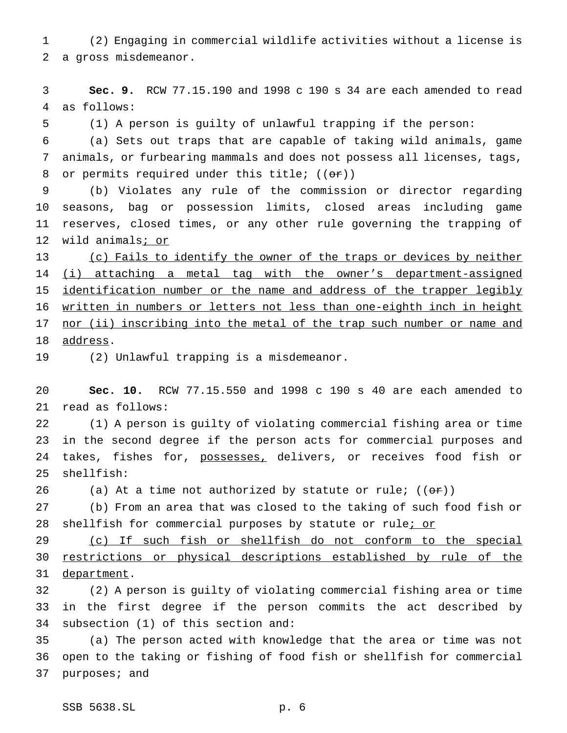(2) Engaging in commercial wildlife activities without a license is a gross misdemeanor.

 **Sec. 9.** RCW 77.15.190 and 1998 c 190 s 34 are each amended to read as follows:

(1) A person is guilty of unlawful trapping if the person:

 (a) Sets out traps that are capable of taking wild animals, game animals, or furbearing mammals and does not possess all licenses, tags, 8 or permits required under this title;  $((\theta \cdot \hat{r}))$ 

 (b) Violates any rule of the commission or director regarding seasons, bag or possession limits, closed areas including game reserves, closed times, or any other rule governing the trapping of wild animals; or

13 (c) Fails to identify the owner of the traps or devices by neither 14 (i) attaching a metal tag with the owner's department-assigned identification number or the name and address of the trapper legibly written in numbers or letters not less than one-eighth inch in height 17 nor (ii) inscribing into the metal of the trap such number or name and address.

(2) Unlawful trapping is a misdemeanor.

 **Sec. 10.** RCW 77.15.550 and 1998 c 190 s 40 are each amended to read as follows:

 (1) A person is guilty of violating commercial fishing area or time in the second degree if the person acts for commercial purposes and 24 takes, fishes for, possesses, delivers, or receives food fish or shellfish:

26 (a) At a time not authorized by statute or rule;  $((\theta \cdot \mathbf{r}))$ 

 (b) From an area that was closed to the taking of such food fish or 28 shellfish for commercial purposes by statute or rulei or

 (c) If such fish or shellfish do not conform to the special restrictions or physical descriptions established by rule of the 31 department.

 (2) A person is guilty of violating commercial fishing area or time in the first degree if the person commits the act described by subsection (1) of this section and:

 (a) The person acted with knowledge that the area or time was not open to the taking or fishing of food fish or shellfish for commercial purposes; and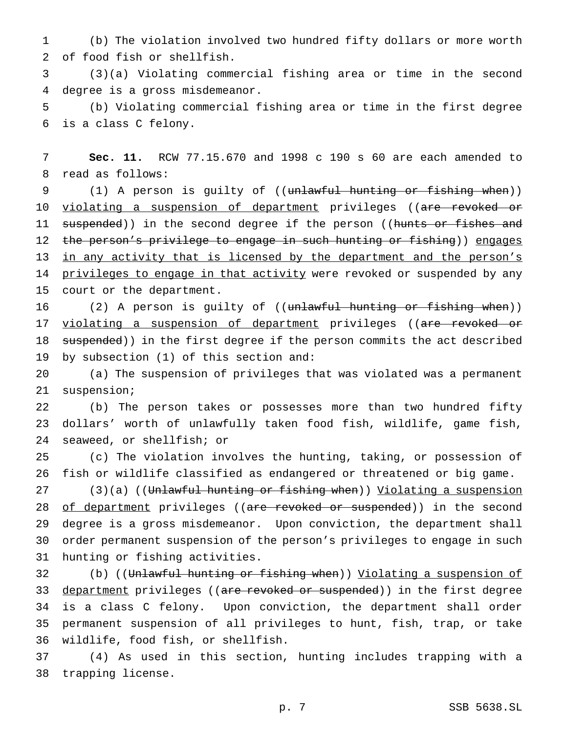(b) The violation involved two hundred fifty dollars or more worth of food fish or shellfish.

 (3)(a) Violating commercial fishing area or time in the second degree is a gross misdemeanor.

 (b) Violating commercial fishing area or time in the first degree is a class C felony.

 **Sec. 11.** RCW 77.15.670 and 1998 c 190 s 60 are each amended to read as follows:

9 (1) A person is guilty of ((<del>unlawful hunting or fishing when</del>)) 10 <u>violating a suspension of department</u> privileges ((<del>are revoked or</del> 11 suspended)) in the second degree if the person ((hunts or fishes and 12 the person's privilege to engage in such hunting or fishing)) engages 13 in any activity that is licensed by the department and the person's 14 privileges to engage in that activity were revoked or suspended by any court or the department.

16 (2) A person is guilty of ((unlawful hunting or fishing when)) 17 violating a suspension of department privileges ((are revoked or 18 suspended)) in the first degree if the person commits the act described by subsection (1) of this section and:

 (a) The suspension of privileges that was violated was a permanent suspension;

 (b) The person takes or possesses more than two hundred fifty dollars' worth of unlawfully taken food fish, wildlife, game fish, seaweed, or shellfish; or

 (c) The violation involves the hunting, taking, or possession of fish or wildlife classified as endangered or threatened or big game.

27 (3)(a) ((Unlawful hunting or fishing when)) Violating a suspension 28 of department privileges ((are revoked or suspended)) in the second degree is a gross misdemeanor. Upon conviction, the department shall order permanent suspension of the person's privileges to engage in such hunting or fishing activities.

32 (b) ((Unlawful hunting or fishing when)) Violating a suspension of 33 department privileges ((are revoked or suspended)) in the first degree is a class C felony. Upon conviction, the department shall order permanent suspension of all privileges to hunt, fish, trap, or take wildlife, food fish, or shellfish.

 (4) As used in this section, hunting includes trapping with a trapping license.